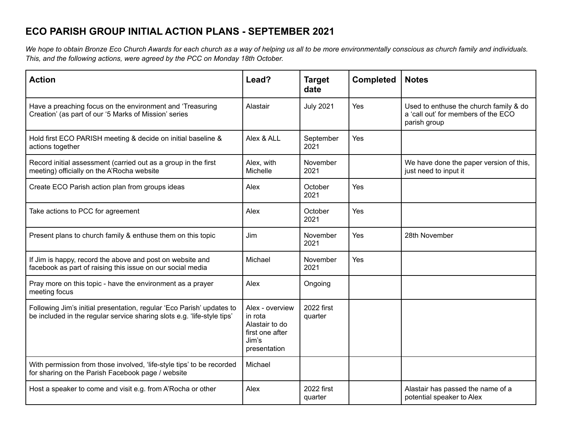## **ECO PARISH GROUP INITIAL ACTION PLANS - SEPTEMBER 2021**

We hope to obtain Bronze Eco Church Awards for each church as a way of helping us all to be more environmentally conscious as church family and individuals. *This, and the following actions, were agreed by the PCC on Monday 18th October.*

| <b>Action</b>                                                                                                                                    | Lead?                                                                                    | <b>Target</b><br>date   | <b>Completed</b> | <b>Notes</b>                                                                                  |
|--------------------------------------------------------------------------------------------------------------------------------------------------|------------------------------------------------------------------------------------------|-------------------------|------------------|-----------------------------------------------------------------------------------------------|
| Have a preaching focus on the environment and 'Treasuring<br>Creation' (as part of our '5 Marks of Mission' series                               | Alastair                                                                                 | <b>July 2021</b>        | Yes              | Used to enthuse the church family & do<br>a 'call out' for members of the ECO<br>parish group |
| Hold first ECO PARISH meeting & decide on initial baseline &<br>actions together                                                                 | Alex & ALL                                                                               | September<br>2021       | Yes              |                                                                                               |
| Record initial assessment (carried out as a group in the first<br>meeting) officially on the A'Rocha website                                     | Alex, with<br>Michelle                                                                   | November<br>2021        |                  | We have done the paper version of this,<br>just need to input it                              |
| Create ECO Parish action plan from groups ideas                                                                                                  | Alex                                                                                     | October<br>2021         | Yes              |                                                                                               |
| Take actions to PCC for agreement                                                                                                                | Alex                                                                                     | October<br>2021         | Yes              |                                                                                               |
| Present plans to church family & enthuse them on this topic                                                                                      | Jim                                                                                      | November<br>2021        | Yes              | 28th November                                                                                 |
| If Jim is happy, record the above and post on website and<br>facebook as part of raising this issue on our social media                          | Michael                                                                                  | <b>November</b><br>2021 | Yes              |                                                                                               |
| Pray more on this topic - have the environment as a prayer<br>meeting focus                                                                      | Alex                                                                                     | Ongoing                 |                  |                                                                                               |
| Following Jim's initial presentation, regular 'Eco Parish' updates to<br>be included in the regular service sharing slots e.g. 'life-style tips' | Alex - overview<br>in rota<br>Alastair to do<br>first one after<br>Jim's<br>presentation | 2022 first<br>quarter   |                  |                                                                                               |
| With permission from those involved, 'life-style tips' to be recorded<br>for sharing on the Parish Facebook page / website                       | Michael                                                                                  |                         |                  |                                                                                               |
| Host a speaker to come and visit e.g. from A'Rocha or other                                                                                      | Alex                                                                                     | 2022 first<br>quarter   |                  | Alastair has passed the name of a<br>potential speaker to Alex                                |